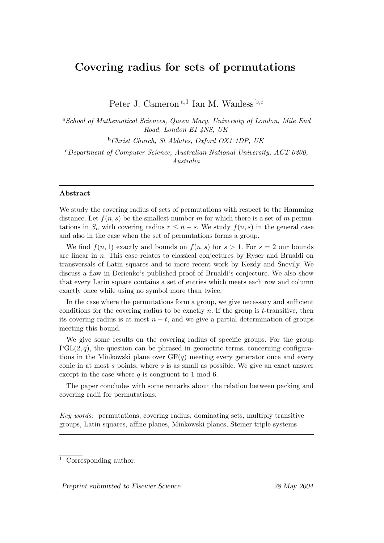# Covering radius for sets of permutations

Peter J. Cameron<sup>a,1</sup> Ian M. Wanless<sup>b,c</sup>

<sup>a</sup> School of Mathematical Sciences, Queen Mary, University of London, Mile End Road, London E1 4NS, UK

 $b$ Christ Church, St Aldates, Oxford OX1 1DP, UK

 $c$ Department of Computer Science, Australian National University, ACT 0200, Australia

#### Abstract

We study the covering radius of sets of permutations with respect to the Hamming distance. Let  $f(n, s)$  be the smallest number m for which there is a set of m permutations in  $S_n$  with covering radius  $r \leq n - s$ . We study  $f(n, s)$  in the general case and also in the case when the set of permutations forms a group.

We find  $f(n, 1)$  exactly and bounds on  $f(n, s)$  for  $s > 1$ . For  $s = 2$  our bounds are linear in n. This case relates to classical conjectures by Ryser and Brualdi on transversals of Latin squares and to more recent work by Kezdy and Snevily. We discuss a flaw in Derienko's published proof of Brualdi's conjecture. We also show that every Latin square contains a set of entries which meets each row and column exactly once while using no symbol more than twice.

In the case where the permutations form a group, we give necessary and sufficient conditions for the covering radius to be exactly n. If the group is  $t$ -transitive, then its covering radius is at most  $n - t$ , and we give a partial determination of groups meeting this bound.

We give some results on the covering radius of specific groups. For the group  $PGL(2, q)$ , the question can be phrased in geometric terms, concerning configurations in the Minkowski plane over  $GF(q)$  meeting every generator once and every conic in at most  $s$  points, where  $s$  is as small as possible. We give an exact answer except in the case where  $q$  is congruent to 1 mod 6.

The paper concludes with some remarks about the relation between packing and covering radii for permutations.

Key words: permutations, covering radius, dominating sets, multiply transitive groups, Latin squares, affine planes, Minkowski planes, Steiner triple systems

<sup>1</sup> Corresponding author.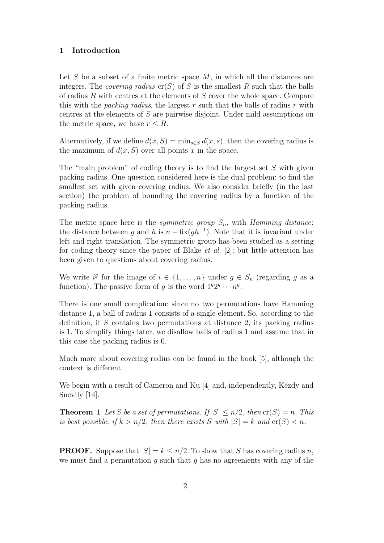# 1 Introduction

Let S be a subset of a finite metric space  $M$ , in which all the distances are integers. The *covering radius*  $cr(S)$  of S is the smallest R such that the balls of radius R with centres at the elements of  $S$  cover the whole space. Compare this with the *packing radius*, the largest r such that the balls of radius r with centres at the elements of S are pairwise disjoint. Under mild assumptions on the metric space, we have  $r \leq R$ .

Alternatively, if we define  $d(x, S) = \min_{s \in S} d(x, s)$ , then the covering radius is the maximum of  $d(x, S)$  over all points x in the space.

The "main problem" of coding theory is to find the largest set  $S$  with given packing radius. One question considered here is the dual problem: to find the smallest set with given covering radius. We also consider briefly (in the last section) the problem of bounding the covering radius by a function of the packing radius.

The metric space here is the *symmetric group*  $S_n$ , with *Hamming distance*: the distance between g and h is  $n - \frac{\text{fix}(gh^{-1})}{h}$ . Note that it is invariant under left and right translation. The symmetric group has been studied as a setting for coding theory since the paper of Blake et al. [2]; but little attention has been given to questions about covering radius.

We write  $i^g$  for the image of  $i \in \{1, ..., n\}$  under  $g \in S_n$  (regarding g as a function). The passive form of g is the word  $1^g 2^g \cdots n^g$ .

There is one small complication: since no two permutations have Hamming distance 1, a ball of radius 1 consists of a single element. So, according to the definition, if S contains two permutations at distance 2, its packing radius is 1. To simplify things later, we disallow balls of radius 1 and assume that in this case the packing radius is 0.

Much more about covering radius can be found in the book [5], although the context is different.

We begin with a result of Cameron and  $Ku$  [4] and, independently, Kezdy and Snevily [14].

**Theorem 1** Let S be a set of permutations. If  $|S| \le n/2$ , then  $\text{cr}(S) = n$ . This is best possible: if  $k > n/2$ , then there exists S with  $|S| = k$  and  $\operatorname{cr}(S) < n$ .

**PROOF.** Suppose that  $|S| = k \le n/2$ . To show that S has covering radius n, we must find a permutation q such that q has no agreements with any of the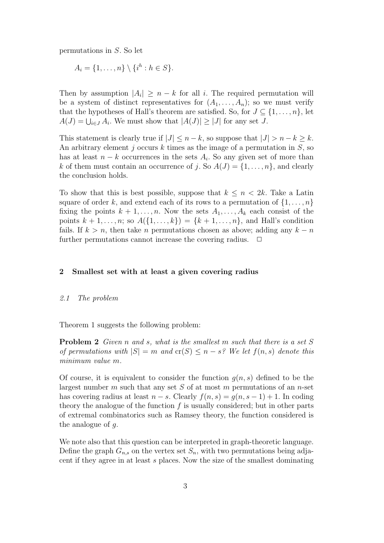permutations in S. So let

$$
A_i = \{1, \ldots, n\} \setminus \{i^h : h \in S\}.
$$

Then by assumption  $|A_i| \geq n - k$  for all i. The required permutation will be a system of distinct representatives for  $(A_1, \ldots, A_n)$ ; so we must verify that the hypotheses of Hall's theorem are satisfied. So, for  $J \subseteq \{1, \ldots, n\}$ , let  $A(J) = \bigcup_{i \in J} A_i$ . We must show that  $|A(J)| \ge |J|$  for any set J.

This statement is clearly true if  $|J| \leq n - k$ , so suppose that  $|J| > n - k > k$ . An arbitrary element  $j$  occurs  $k$  times as the image of a permutation in  $S$ , so has at least  $n - k$  occurrences in the sets  $A_i$ . So any given set of more than k of them must contain an occurrence of j. So  $A(J) = \{1, \ldots, n\}$ , and clearly the conclusion holds.

To show that this is best possible, suppose that  $k \leq n < 2k$ . Take a Latin square of order k, and extend each of its rows to a permutation of  $\{1, \ldots, n\}$ fixing the points  $k + 1, \ldots, n$ . Now the sets  $A_1, \ldots, A_k$  each consist of the points  $k + 1, ..., n$ ; so  $A({1, ..., k}) = {k + 1, ..., n}$ , and Hall's condition fails. If  $k > n$ , then take n permutations chosen as above; adding any  $k - n$ further permutations cannot increase the covering radius.  $\Box$ 

# 2 Smallest set with at least a given covering radius

#### 2.1 The problem

Theorem 1 suggests the following problem:

**Problem 2** Given n and s, what is the smallest m such that there is a set S of permutations with  $|S| = m$  and  $\text{cr}(S) \leq n - s$ ? We let  $f(n, s)$  denote this minimum value m.

Of course, it is equivalent to consider the function  $q(n, s)$  defined to be the largest number m such that any set S of at most m permutations of an n-set has covering radius at least  $n - s$ . Clearly  $f(n, s) = g(n, s - 1) + 1$ . In coding theory the analogue of the function  $f$  is usually considered; but in other parts of extremal combinatorics such as Ramsey theory, the function considered is the analogue of  $q$ .

We note also that this question can be interpreted in graph-theoretic language. Define the graph  $G_{n,s}$  on the vertex set  $S_n$ , with two permutations being adjacent if they agree in at least s places. Now the size of the smallest dominating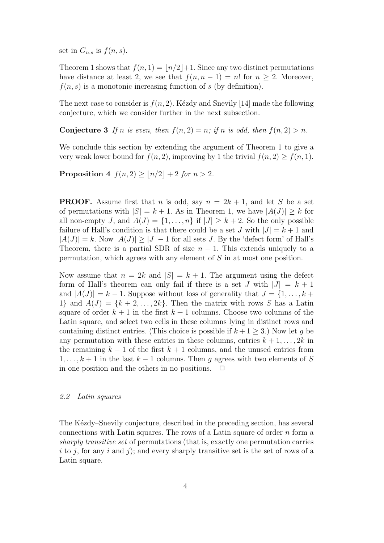set in  $G_{n,s}$  is  $f(n, s)$ .

Theorem 1 shows that  $f(n, 1) = |n/2|+1$ . Since any two distinct permutations have distance at least 2, we see that  $f(n, n-1) = n!$  for  $n \geq 2$ . Moreover,  $f(n, s)$  is a monotonic increasing function of s (by definition).

The next case to consider is  $f(n, 2)$ . Kézdy and Snevily [14] made the following conjecture, which we consider further in the next subsection.

**Conjecture 3** If n is even, then  $f(n, 2) = n$ ; if n is odd, then  $f(n, 2) > n$ .

We conclude this section by extending the argument of Theorem 1 to give a very weak lower bound for  $f(n, 2)$ , improving by 1 the trivial  $f(n, 2) \ge f(n, 1)$ .

Proposition 4  $f(n, 2) \geq |n/2| + 2$  for  $n > 2$ .

**PROOF.** Assume first that n is odd, say  $n = 2k + 1$ , and let S be a set of permutations with  $|S| = k + 1$ . As in Theorem 1, we have  $|A(J)| \geq k$  for all non-empty J, and  $A(J) = \{1, \ldots, n\}$  if  $|J| \geq k+2$ . So the only possible failure of Hall's condition is that there could be a set J with  $|J| = k + 1$  and  $|A(J)| = k$ . Now  $|A(J)| > |J| - 1$  for all sets J. By the 'defect form' of Hall's Theorem, there is a partial SDR of size  $n - 1$ . This extends uniquely to a permutation, which agrees with any element of S in at most one position.

Now assume that  $n = 2k$  and  $|S| = k + 1$ . The argument using the defect form of Hall's theorem can only fail if there is a set J with  $|J| = k + 1$ and  $|A(J)| = k - 1$ . Suppose without loss of generality that  $J = \{1, \ldots, k + 1\}$ 1} and  $A(J) = \{k+2,\ldots,2k\}$ . Then the matrix with rows S has a Latin square of order  $k+1$  in the first  $k+1$  columns. Choose two columns of the Latin square, and select two cells in these columns lying in distinct rows and containing distinct entries. (This choice is possible if  $k + 1 \geq 3$ .) Now let g be any permutation with these entries in these columns, entries  $k + 1, \ldots, 2k$  in the remaining  $k-1$  of the first  $k+1$  columns, and the unused entries from  $1, \ldots, k+1$  in the last  $k-1$  columns. Then g agrees with two elements of S in one position and the others in no positions.  $\Box$ 

#### 2.2 Latin squares

The Kézdy–Snevily conjecture, described in the preceding section, has several connections with Latin squares. The rows of a Latin square of order  $n$  form a sharply transitive set of permutations (that is, exactly one permutation carries i to j, for any i and j); and every sharply transitive set is the set of rows of a Latin square.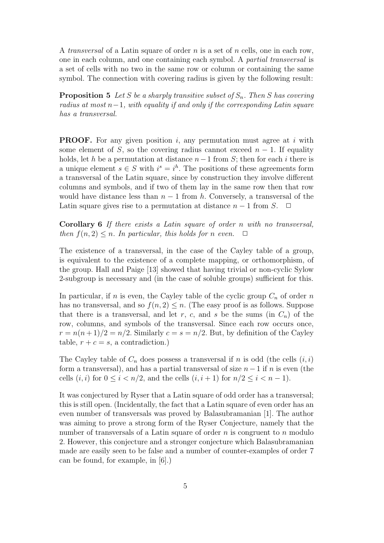A transversal of a Latin square of order n is a set of n cells, one in each row, one in each column, and one containing each symbol. A partial transversal is a set of cells with no two in the same row or column or containing the same symbol. The connection with covering radius is given by the following result:

**Proposition 5** Let S be a sharply transitive subset of  $S_n$ . Then S has covering radius at most  $n-1$ , with equality if and only if the corresponding Latin square has a transversal.

**PROOF.** For any given position i, any permutation must agree at i with some element of S, so the covering radius cannot exceed  $n-1$ . If equality holds, let h be a permutation at distance  $n-1$  from S; then for each i there is a unique element  $s \in S$  with  $i^s = i^h$ . The positions of these agreements form a transversal of the Latin square, since by construction they involve different columns and symbols, and if two of them lay in the same row then that row would have distance less than  $n-1$  from h. Conversely, a transversal of the Latin square gives rise to a permutation at distance  $n-1$  from S.  $\Box$ 

Corollary 6 If there exists a Latin square of order n with no transversal, then  $f(n, 2) \leq n$ . In particular, this holds for n even.  $\Box$ 

The existence of a transversal, in the case of the Cayley table of a group, is equivalent to the existence of a complete mapping, or orthomorphism, of the group. Hall and Paige [13] showed that having trivial or non-cyclic Sylow 2-subgroup is necessary and (in the case of soluble groups) sufficient for this.

In particular, if n is even, the Cayley table of the cyclic group  $C_n$  of order n has no transversal, and so  $f(n, 2) \leq n$ . (The easy proof is as follows. Suppose that there is a transversal, and let r, c, and s be the sums (in  $C_n$ ) of the row, columns, and symbols of the transversal. Since each row occurs once,  $r = n(n+1)/2 = n/2$ . Similarly  $c = s = n/2$ . But, by definition of the Cayley table,  $r + c = s$ , a contradiction.)

The Cayley table of  $C_n$  does possess a transversal if n is odd (the cells  $(i, i)$ ) form a transversal), and has a partial transversal of size  $n-1$  if n is even (the cells  $(i, i)$  for  $0 \leq i < n/2$ , and the cells  $(i, i + 1)$  for  $n/2 \leq i < n - 1$ .

It was conjectured by Ryser that a Latin square of odd order has a transversal; this is still open. (Incidentally, the fact that a Latin square of even order has an even number of transversals was proved by Balasubramanian [1]. The author was aiming to prove a strong form of the Ryser Conjecture, namely that the number of transversals of a Latin square of order  $n$  is congruent to  $n$  modulo 2. However, this conjecture and a stronger conjecture which Balasubramanian made are easily seen to be false and a number of counter-examples of order 7 can be found, for example, in [6].)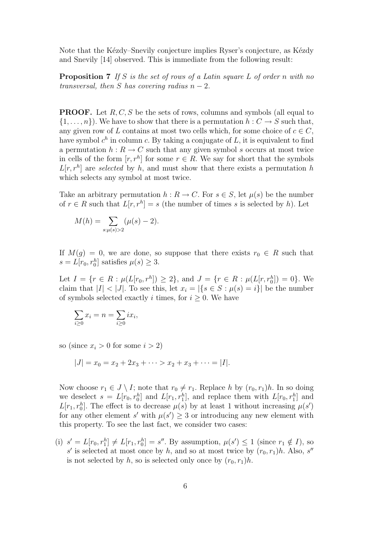Note that the Kézdy–Snevily conjecture implies Ryser's conjecture, as Kézdy and Snevily [14] observed. This is immediate from the following result:

**Proposition 7** If S is the set of rows of a Latin square L of order n with no transversal, then S has covering radius  $n-2$ .

**PROOF.** Let  $R, C, S$  be the sets of rows, columns and symbols (all equal to  $\{1,\ldots,n\}$ . We have to show that there is a permutation  $h: C \to S$  such that, any given row of L contains at most two cells which, for some choice of  $c \in C$ , have symbol  $c^h$  in column c. By taking a conjugate of L, it is equivalent to find a permutation  $h: R \to C$  such that any given symbol s occurs at most twice in cells of the form  $[r, r^h]$  for some  $r \in R$ . We say for short that the symbols  $L[r, r<sup>h</sup>]$  are selected by h, and must show that there exists a permutation h which selects any symbol at most twice.

Take an arbitrary permutation  $h : R \to C$ . For  $s \in S$ , let  $\mu(s)$  be the number of  $r \in R$  such that  $L[r, r^h] = s$  (the number of times s is selected by h). Let

$$
M(h) = \sum_{s:\mu(s) > 2} (\mu(s) - 2).
$$

If  $M(g) = 0$ , we are done, so suppose that there exists  $r_0 \in R$  such that  $s = L[r_0, r_0^h]$  satisfies  $\mu(s) \geq 3$ .

Let  $I = \{r \in R : \mu(L[r_0, r^h]) \geq 2\}$ , and  $J = \{r \in R : \mu(L[r, r_0^h]) = 0\}$ . We claim that  $|I| < |J|$ . To see this, let  $x_i = |\{s \in S : \mu(s) = i\}|$  be the number of symbols selected exactly i times, for  $i \geq 0$ . We have

$$
\sum_{i\geq 0} x_i = n = \sum_{i\geq 0} ix_i,
$$

so (since  $x_i > 0$  for some  $i > 2$ )

$$
|J| = x_0 = x_2 + 2x_3 + \cdots > x_2 + x_3 + \cdots = |I|.
$$

Now choose  $r_1 \in J \setminus I$ ; note that  $r_0 \neq r_1$ . Replace h by  $(r_0, r_1)h$ . In so doing we deselect  $s = L[r_0, r_0^h]$  and  $L[r_1, r_1^h]$ , and replace them with  $L[r_0, r_1^h]$  and  $L[r_1, r_0^h]$ . The effect is to decrease  $\mu(s)$  by at least 1 without increasing  $\mu(s')$ for any other element s' with  $\mu(s') \geq 3$  or introducing any new element with this property. To see the last fact, we consider two cases:

(i)  $s' = L[r_0, r_1^h] \neq L[r_1, r_0^h] = s''$ . By assumption,  $\mu(s') \leq 1$  (since  $r_1 \notin I$ ), so s' is selected at most once by h, and so at most twice by  $(r_0, r_1)h$ . Also, s'' is not selected by h, so is selected only once by  $(r_0, r_1)h$ .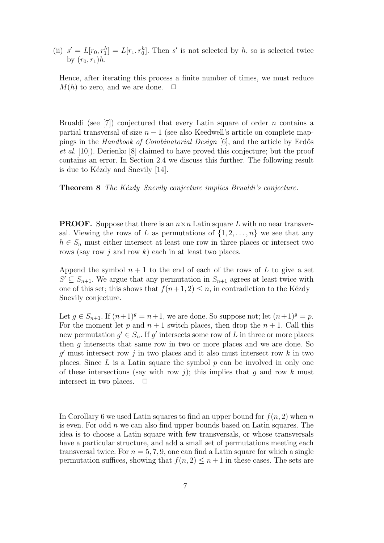(ii)  $s' = L[r_0, r_1^h] = L[r_1, r_0^h]$ . Then s' is not selected by h, so is selected twice by  $(r_0, r_1)h$ .

Hence, after iterating this process a finite number of times, we must reduce  $M(h)$  to zero, and we are done.  $\Box$ 

Brualdi (see [7]) conjectured that every Latin square of order  $n$  contains a partial transversal of size  $n - 1$  (see also Keedwell's article on complete mappings in the Handbook of Combinatorial Design [6], and the article by Erdős et al. [10]). Derienko [8] claimed to have proved this conjecture; but the proof contains an error. In Section 2.4 we discuss this further. The following result is due to Kézdy and Snevily [14].

**Theorem 8** The Kézdy–Snevily conjecture implies Brualdi's conjecture.

**PROOF.** Suppose that there is an  $n \times n$  Latin square L with no near transversal. Viewing the rows of L as permutations of  $\{1, 2, \ldots, n\}$  we see that any  $h \in S_n$  must either intersect at least one row in three places or intersect two rows (say row j and row k) each in at least two places.

Append the symbol  $n + 1$  to the end of each of the rows of L to give a set  $S' \subseteq S_{n+1}$ . We argue that any permutation in  $S_{n+1}$  agrees at least twice with one of this set; this shows that  $f(n+1, 2) \leq n$ , in contradiction to the Kézdy– Snevily conjecture.

Let  $g \in S_{n+1}$ . If  $(n+1)^g = n+1$ , we are done. So suppose not; let  $(n+1)^g = p$ . For the moment let p and  $n + 1$  switch places, then drop the  $n + 1$ . Call this new permutation  $g' \in S_n$ . If g' intersects some row of L in three or more places then g intersects that same row in two or more places and we are done. So  $g'$  must intersect row j in two places and it also must intersect row k in two places. Since  $L$  is a Latin square the symbol  $p$  can be involved in only one of these intersections (say with row j); this implies that q and row k must intersect in two places.  $\Box$ 

In Corollary 6 we used Latin squares to find an upper bound for  $f(n, 2)$  when n is even. For odd  $n$  we can also find upper bounds based on Latin squares. The idea is to choose a Latin square with few transversals, or whose transversals have a particular structure, and add a small set of permutations meeting each transversal twice. For  $n = 5, 7, 9$ , one can find a Latin square for which a single permutation suffices, showing that  $f(n, 2) \leq n+1$  in these cases. The sets are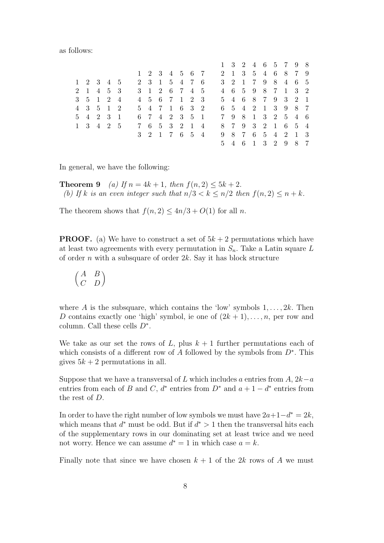|  |  | as follows: |
|--|--|-------------|
|--|--|-------------|

|  |           |  |  |  |               |  |  |  |  | $1 \t3 \t2 \t4 \t6 \t5 \t7 \t9 \t8$ |  |
|--|-----------|--|--|--|---------------|--|--|--|--|-------------------------------------|--|
|  |           |  |  |  | 1 2 3 4 5 6 7 |  |  |  |  | 2 1 3 5 4 6 8 7 9                   |  |
|  | 1 2 3 4 5 |  |  |  | 2 3 1 5 4 7 6 |  |  |  |  | 3 2 1 7 9 8 4 6 5                   |  |
|  | 2 1 4 5 3 |  |  |  | 3 1 2 6 7 4 5 |  |  |  |  | 4 6 5 9 8 7 1 3 2                   |  |
|  | 3 5 1 2 4 |  |  |  | 4 5 6 7 1 2 3 |  |  |  |  | 5 4 6 8 7 9 3 2 1                   |  |
|  | 4 3 5 1 2 |  |  |  | 5 4 7 1 6 3 2 |  |  |  |  | 6 5 4 2 1 3 9 8 7                   |  |
|  | 5 4 2 3 1 |  |  |  | 6 7 4 2 3 5 1 |  |  |  |  | 7 9 8 1 3 2 5 4 6                   |  |
|  | 1 3 4 2 5 |  |  |  | 7 6 5 3 2 1 4 |  |  |  |  | 8 7 9 3 2 1 6 5 4                   |  |
|  |           |  |  |  | 3 2 1 7 6 5 4 |  |  |  |  | 9 8 7 6 5 4 2 1 3                   |  |
|  |           |  |  |  |               |  |  |  |  | 5 4 6 1 3 2 9 8 7                   |  |

In general, we have the following:

**Theorem 9** (a) If  $n = 4k + 1$ , then  $f(n, 2) \le 5k + 2$ . (b) If k is an even integer such that  $n/3 < k \leq n/2$  then  $f(n, 2) \leq n + k$ .

The theorem shows that  $f(n, 2) \le 4n/3 + O(1)$  for all n.

**PROOF.** (a) We have to construct a set of  $5k + 2$  permutations which have at least two agreements with every permutation in  $S_n$ . Take a Latin square L of order n with a subsquare of order  $2k$ . Say it has block structure

$$
\begin{pmatrix} A & B \\ C & D \end{pmatrix}
$$

where A is the subsquare, which contains the 'low' symbols  $1, \ldots, 2k$ . Then D contains exactly one 'high' symbol, ie one of  $(2k + 1), \ldots, n$ , per row and column. Call these cells  $D^*$ .

We take as our set the rows of L, plus  $k + 1$  further permutations each of which consists of a different row of  $\overline{A}$  followed by the symbols from  $D^*$ . This gives  $5k + 2$  permutations in all.

Suppose that we have a transversal of L which includes a entries from  $A, 2k-a$ entries from each of B and C,  $d^*$  entries from  $D^*$  and  $a + 1 - d^*$  entries from the rest of D.

In order to have the right number of low symbols we must have  $2a+1-d^* = 2k$ , which means that  $d^*$  must be odd. But if  $d^* > 1$  then the transversal hits each of the supplementary rows in our dominating set at least twice and we need not worry. Hence we can assume  $d^* = 1$  in which case  $a = k$ .

Finally note that since we have chosen  $k + 1$  of the 2k rows of A we must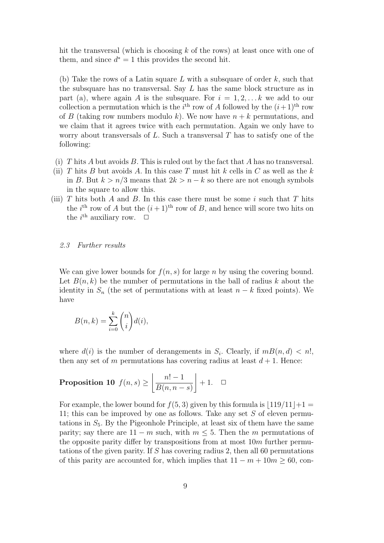hit the transversal (which is choosing  $k$  of the rows) at least once with one of them, and since  $d^* = 1$  this provides the second hit.

(b) Take the rows of a Latin square L with a subsquare of order  $k$ , such that the subsquare has no transversal. Say  $L$  has the same block structure as in part (a), where again A is the subsquare. For  $i = 1, 2, \ldots k$  we add to our collection a permutation which is the  $i<sup>th</sup>$  row of A followed by the  $(i+1)<sup>th</sup>$  row of B (taking row numbers modulo k). We now have  $n + k$  permutations, and we claim that it agrees twice with each permutation. Again we only have to worry about transversals of  $L$ . Such a transversal  $T$  has to satisfy one of the following:

- (i) T hits A but avoids B. This is ruled out by the fact that A has no transversal.
- (ii) T hits B but avoids A. In this case T must hit k cells in C as well as the k in B. But  $k > n/3$  means that  $2k > n - k$  so there are not enough symbols in the square to allow this.
- (iii)  $T$  hits both  $A$  and  $B$ . In this case there must be some i such that  $T$  hits the *i*<sup>th</sup> row of A but the  $(i+1)$ <sup>th</sup> row of B, and hence will score two hits on the  $i^{\text{th}}$  auxiliary row.  $\Box$

#### 2.3 Further results

We can give lower bounds for  $f(n, s)$  for large n by using the covering bound. Let  $B(n, k)$  be the number of permutations in the ball of radius k about the identity in  $S_n$  (the set of permutations with at least  $n - k$  fixed points). We have

$$
B(n,k) = \sum_{i=0}^{k} \binom{n}{i} d(i),
$$

where  $d(i)$  is the number of derangements in  $S_i$ . Clearly, if  $m(n,d) < n!$ , then any set of m permutations has covering radius at least  $d+1$ . Hence:

**Proposition 10** 
$$
f(n,s) \ge \left\lfloor \frac{n!-1}{B(n,n-s)} \right\rfloor + 1.
$$
  $\square$ 

For example, the lower bound for  $f(5,3)$  given by this formula is  $\lfloor 119/11 \rfloor +1 =$ 11; this can be improved by one as follows. Take any set S of eleven permutations in  $S_5$ . By the Pigeonhole Principle, at least six of them have the same parity; say there are  $11 - m$  such, with  $m \leq 5$ . Then the m permutations of the opposite parity differ by transpositions from at most  $10m$  further permutations of the given parity. If S has covering radius 2, then all 60 permutations of this parity are accounted for, which implies that  $11 - m + 10m \ge 60$ , con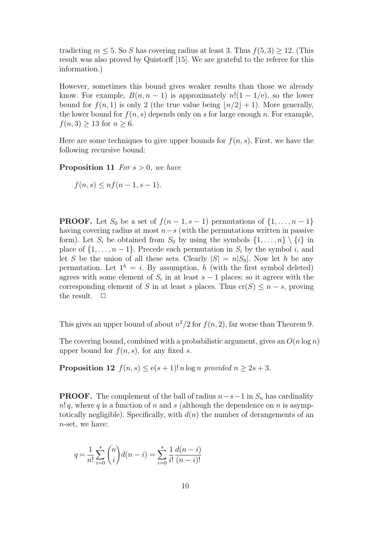tradicting  $m \leq 5$ . So S has covering radius at least 3. Thus  $f(5, 3) \geq 12$ . (This result was also proved by Quistorff [15]. We are grateful to the referee for this information.)

However, sometimes this bound gives weaker results than those we already know. For example,  $B(n, n - 1)$  is approximately  $n!(1 - 1/e)$ , so the lower bound for  $f(n, 1)$  is only 2 (the true value being  $\lfloor n/2 \rfloor + 1$ ). More generally, the lower bound for  $f(n, s)$  depends only on s for large enough n. For example,  $f(n, 3) \geq 13$  for  $n \geq 6$ .

Here are some techniques to give upper bounds for  $f(n, s)$ . First, we have the following recursive bound:

**Proposition 11** For  $s > 0$ , we have

$$
f(n,s) \leq n f(n-1, s-1).
$$

**PROOF.** Let  $S_0$  be a set of  $f(n-1, s-1)$  permutations of  $\{1, \ldots, n-1\}$ having covering radius at most  $n-s$  (with the permutations written in passive form). Let  $S_i$  be obtained from  $S_0$  by using the symbols  $\{1, \ldots, n\} \setminus \{i\}$  in place of  $\{1, \ldots, n-1\}$ . Precede each permutation in  $S_i$  by the symbol i, and let S be the union of all these sets. Clearly  $|S| = n|S_0|$ . Now let h be any permutation. Let  $1^h = i$ . By assumption, h (with the first symbol deleted) agrees with some element of  $S_i$  in at least  $s-1$  places; so it agrees with the corresponding element of S in at least s places. Thus  $cr(S) \leq n - s$ , proving the result.  $\Box$ 

This gives an upper bound of about  $n^2/2$  for  $f(n, 2)$ , far worse than Theorem 9.

The covering bound, combined with a probabilistic argument, gives an  $O(n \log n)$ upper bound for  $f(n, s)$ , for any fixed s.

**Proposition 12**  $f(n, s) \le e(s + 1)! n \log n$  provided  $n \ge 2s + 3$ .

**PROOF.** The complement of the ball of radius  $n-s-1$  in  $S_n$  has cardinality  $n! q$ , where q is a function of n and s (although the dependence on n is asymptotically negligible). Specifically, with  $d(n)$  the number of derangements of an n-set, we have:

$$
q = \frac{1}{n!} \sum_{i=0}^{s} {n \choose i} d(n-i) = \sum_{i=0}^{s} \frac{1}{i!} \frac{d(n-i)}{(n-i)!}
$$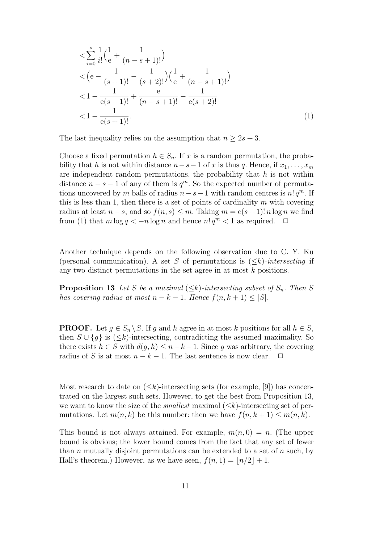$$
\langle \sum_{i=0}^{s} \frac{1}{i!} \left( \frac{1}{e} + \frac{1}{(n-s+1)!} \right) \rangle
$$
  

$$
\langle \left( e - \frac{1}{(s+1)!} - \frac{1}{(s+2)!} \right) \left( \frac{1}{e} + \frac{1}{(n-s+1)!} \right) \rangle
$$
  

$$
\langle 1 - \frac{1}{e(s+1)!} + \frac{e}{(n-s+1)!} - \frac{1}{e(s+2)!}
$$
  

$$
\langle 1 - \frac{1}{e(s+1)!} \rangle
$$
 (1)

The last inequality relies on the assumption that  $n \geq 2s + 3$ .

Choose a fixed permutation  $h \in S_n$ . If x is a random permutation, the probability that h is not within distance  $n-s-1$  of x is thus q. Hence, if  $x_1, \ldots, x_m$ are independent random permutations, the probability that  $h$  is not within distance  $n - s - 1$  of any of them is  $q^m$ . So the expected number of permutations uncovered by m balls of radius  $n - s - 1$  with random centres is  $n! q^m$ . If this is less than 1, then there is a set of points of cardinality  $m$  with covering radius at least  $n - s$ , and so  $f(n, s) \leq m$ . Taking  $m = e(s + 1)! n \log n$  we find from (1) that  $m \log q < -n \log n$  and hence  $n! q<sup>m</sup> < 1$  as required.  $\Box$ 

Another technique depends on the following observation due to C. Y. Ku (personal communication). A set S of permutations is  $(\leq k)$ -intersecting if any two distinct permutations in the set agree in at most k positions.

**Proposition 13** Let S be a maximal  $(\leq k)$ -intersecting subset of  $S_n$ . Then S has covering radius at most  $n - k - 1$ . Hence  $f(n, k + 1) \leq |S|$ .

**PROOF.** Let  $g \in S_n \backslash S$ . If g and h agree in at most k positions for all  $h \in S$ , then  $S \cup \{g\}$  is  $(\leq k)$ -intersecting, contradicting the assumed maximality. So there exists  $h \in S$  with  $d(g, h) \leq n - k - 1$ . Since g was arbitrary, the covering radius of S is at most  $n - k - 1$ . The last sentence is now clear.  $\Box$ 

Most research to date on  $(\leq k)$ -intersecting sets (for example, [9]) has concentrated on the largest such sets. However, to get the best from Proposition 13, we want to know the size of the *smallest* maximal  $(\leq k)$ -intersecting set of permutations. Let  $m(n, k)$  be this number: then we have  $f(n, k + 1) \leq m(n, k)$ .

This bound is not always attained. For example,  $m(n, 0) = n$ . (The upper bound is obvious; the lower bound comes from the fact that any set of fewer than n mutually disjoint permutations can be extended to a set of n such, by Hall's theorem.) However, as we have seen,  $f(n, 1) = |n/2| + 1$ .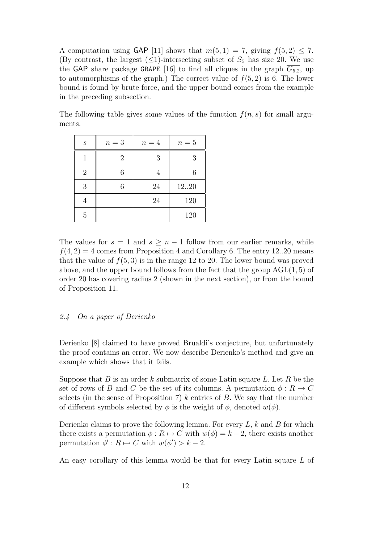A computation using GAP [11] shows that  $m(5, 1) = 7$ , giving  $f(5, 2) \le 7$ . (By contrast, the largest  $(\leq 1)$ -intersecting subset of  $S_5$  has size 20. We use the GAP share package GRAPE [16] to find all cliques in the graph  $\overline{G_{5,2}}$ , up to automorphisms of the graph.) The correct value of  $f(5, 2)$  is 6. The lower bound is found by brute force, and the upper bound comes from the example in the preceding subsection.

The following table gives some values of the function  $f(n, s)$  for small arguments.

| $\boldsymbol{s}$ | $n=3$          | $n=4$ | $n=5$ |
|------------------|----------------|-------|-------|
|                  | $\overline{2}$ | 3     | 3     |
| $\overline{2}$   | 6              |       |       |
| 3                | 6              | 24    | 1220  |
| 4                |                | 24    | 120   |
| 5                |                |       | 120   |

The values for  $s = 1$  and  $s \geq n - 1$  follow from our earlier remarks, while  $f(4, 2) = 4$  comes from Proposition 4 and Corollary 6. The entry 12..20 means that the value of  $f(5,3)$  is in the range 12 to 20. The lower bound was proved above, and the upper bound follows from the fact that the group  $AGL(1, 5)$  of order 20 has covering radius 2 (shown in the next section), or from the bound of Proposition 11.

## 2.4 On a paper of Derienko

Derienko [8] claimed to have proved Brualdi's conjecture, but unfortunately the proof contains an error. We now describe Derienko's method and give an example which shows that it fails.

Suppose that B is an order k submatrix of some Latin square L. Let R be the set of rows of B and C be the set of its columns. A permutation  $\phi : R \mapsto C$ selects (in the sense of Proposition 7)  $k$  entries of  $B$ . We say that the number of different symbols selected by  $\phi$  is the weight of  $\phi$ , denoted  $w(\phi)$ .

Derienko claims to prove the following lemma. For every  $L, k$  and  $B$  for which there exists a permutation  $\phi : R \mapsto C$  with  $w(\phi) = k - 2$ , there exists another permutation  $\phi' : R \mapsto C$  with  $w(\phi') > k - 2$ .

An easy corollary of this lemma would be that for every Latin square L of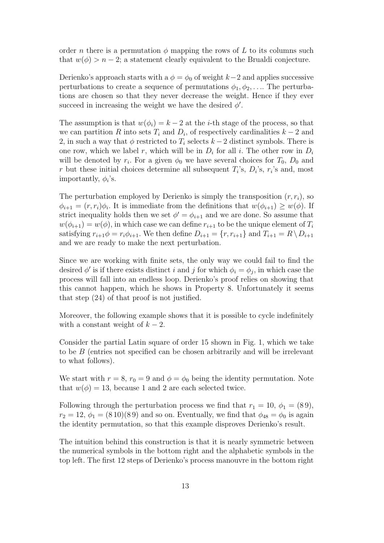order n there is a permutation  $\phi$  mapping the rows of L to its columns such that  $w(\phi) > n-2$ ; a statement clearly equivalent to the Brualdi conjecture.

Derienko's approach starts with a  $\phi = \phi_0$  of weight k–2 and applies successive perturbations to create a sequence of permutations  $\phi_1, \phi_2, \ldots$  The perturbations are chosen so that they never decrease the weight. Hence if they ever succeed in increasing the weight we have the desired  $\phi'$ .

The assumption is that  $w(\phi_i) = k - 2$  at the *i*-th stage of the process, so that we can partition R into sets  $T_i$  and  $D_i$ , of respectively cardinalities  $k-2$  and 2, in such a way that  $\phi$  restricted to  $T_i$  selects  $k-2$  distinct symbols. There is one row, which we label r, which will be in  $D_i$  for all i. The other row in  $D_i$ will be denoted by  $r_i$ . For a given  $\phi_0$  we have several choices for  $T_0$ ,  $D_0$  and r but these initial choices determine all subsequent  $T_i$ 's,  $D_i$ 's,  $r_i$ 's and, most importantly,  $\phi_i$ 's.

The perturbation employed by Derienko is simply the transposition  $(r, r_i)$ , so  $\phi_{i+1} = (r, r_i)\phi_i$ . It is immediate from the definitions that  $w(\phi_{i+1}) \geq w(\phi)$ . If strict inequality holds then we set  $\phi' = \phi_{i+1}$  and we are done. So assume that  $w(\phi_{i+1}) = w(\phi)$ , in which case we can define  $r_{i+1}$  to be the unique element of  $T_i$ satisfying  $r_{i+1}\phi = r_i\phi_{i+1}$ . We then define  $D_{i+1} = \{r, r_{i+1}\}\$  and  $T_{i+1} = R\setminus D_{i+1}$ and we are ready to make the next perturbation.

Since we are working with finite sets, the only way we could fail to find the desired  $\phi'$  is if there exists distinct i and j for which  $\phi_i = \phi_j$ , in which case the process will fall into an endless loop. Derienko's proof relies on showing that this cannot happen, which he shows in Property 8. Unfortunately it seems that step (24) of that proof is not justified.

Moreover, the following example shows that it is possible to cycle indefinitely with a constant weight of  $k - 2$ .

Consider the partial Latin square of order 15 shown in Fig. 1, which we take to be B (entries not specified can be chosen arbitrarily and will be irrelevant to what follows).

We start with  $r = 8$ ,  $r_0 = 9$  and  $\phi = \phi_0$  being the identity permutation. Note that  $w(\phi) = 13$ , because 1 and 2 are each selected twice.

Following through the perturbation process we find that  $r_1 = 10, \phi_1 = (89)$ ,  $r_2 = 12$ ,  $\phi_1 = (810)(89)$  and so on. Eventually, we find that  $\phi_{48} = \phi_0$  is again the identity permutation, so that this example disproves Derienko's result.

The intuition behind this construction is that it is nearly symmetric between the numerical symbols in the bottom right and the alphabetic symbols in the top left. The first 12 steps of Derienko's process manouvre in the bottom right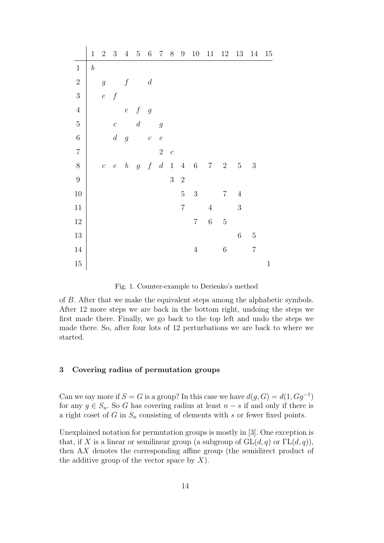|                | $\mathbf 1$      | $\sqrt{2}$       | $\sqrt{3}$       | $\overline{4}$   | $\bf 5$          | $\,6$            | $\,7$            | $8\,$          | $\boldsymbol{9}$ | $10\,$         | 11             | 12             | 13         | 14         | 15           |
|----------------|------------------|------------------|------------------|------------------|------------------|------------------|------------------|----------------|------------------|----------------|----------------|----------------|------------|------------|--------------|
| $\mathbf 1$    | $\boldsymbol{b}$ |                  |                  |                  |                  |                  |                  |                |                  |                |                |                |            |            |              |
| $\overline{2}$ |                  | $\mathfrak g$    |                  | $\boldsymbol{f}$ |                  | $\boldsymbol{d}$ |                  |                |                  |                |                |                |            |            |              |
| 3              |                  | $\overline{e}$   | $\int$           |                  |                  |                  |                  |                |                  |                |                |                |            |            |              |
| $\overline{4}$ |                  |                  |                  | $\boldsymbol{e}$ | $\boldsymbol{f}$ | $\overline{g}$   |                  |                |                  |                |                |                |            |            |              |
| $\overline{5}$ |                  |                  | $\mathcal{C}$    |                  | $\boldsymbol{d}$ |                  | $\mathfrak g$    |                |                  |                |                |                |            |            |              |
| $\overline{6}$ |                  |                  | $\boldsymbol{d}$ | $\overline{g}$   |                  | $\boldsymbol{c}$ | $\boldsymbol{e}$ |                |                  |                |                |                |            |            |              |
| $\overline{7}$ |                  |                  |                  |                  |                  |                  | $\sqrt{2}$       | $\overline{c}$ |                  |                |                |                |            |            |              |
| 8              |                  | $\boldsymbol{c}$ | $\boldsymbol{e}$ | $\boldsymbol{b}$ | g                | $\boldsymbol{f}$ | $\boldsymbol{d}$ | $\,1$          |                  | $4\quad 6$     | $\,7$          | $\,2$          | $\bf 5$    | $\sqrt{3}$ |              |
| $\overline{9}$ |                  |                  |                  |                  |                  |                  |                  | $\overline{3}$ | $\sqrt{2}$       |                |                |                |            |            |              |
| $10\,$         |                  |                  |                  |                  |                  |                  |                  |                | $\bf 5$          | $\sqrt{3}$     |                | $\overline{7}$ | $\sqrt{4}$ |            |              |
| $11\,$         |                  |                  |                  |                  |                  |                  |                  |                | $\overline{7}$   |                | $\overline{4}$ |                | 3          |            |              |
| $12\,$         |                  |                  |                  |                  |                  |                  |                  |                |                  | $\overline{7}$ | $\overline{6}$ | $\mathbf 5$    |            |            |              |
| $13\,$         |                  |                  |                  |                  |                  |                  |                  |                |                  |                |                |                | $\,6$      | $\bf 5$    |              |
| $14\,$         |                  |                  |                  |                  |                  |                  |                  |                |                  | $\overline{4}$ |                | $\sqrt{6}$     |            | $\sqrt{ }$ |              |
| $15\,$         |                  |                  |                  |                  |                  |                  |                  |                |                  |                |                |                |            |            | $\mathbf{1}$ |

Fig. 1. Counter-example to Derienko's method

of B. After that we make the equivalent steps among the alphabetic symbols. After 12 more steps we are back in the bottom right, undoing the steps we first made there. Finally, we go back to the top left and undo the steps we made there. So, after four lots of 12 perturbations we are back to where we started.

# 3 Covering radius of permutation groups

Can we say more if  $S = G$  is a group? In this case we have  $d(g, G) = d(1, Gg^{-1})$ for any  $g \in S_n$ . So G has covering radius at least  $n - s$  if and only if there is a right coset of G in  $S_n$  consisting of elements with s or fewer fixed points.

Unexplained notation for permutation groups is mostly in [3]. One exception is that, if X is a linear or semilinear group (a subgroup of  $GL(d, q)$  or  $\Gamma L(d, q)$ ), then AX denotes the corresponding affine group (the semidirect product of the additive group of the vector space by  $X$ ).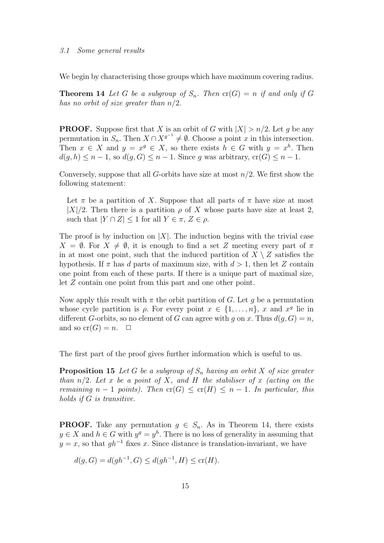We begin by characterising those groups which have maximum covering radius.

**Theorem 14** Let G be a subgroup of  $S_n$ . Then  $cr(G) = n$  if and only if G has no orbit of size greater than  $n/2$ .

**PROOF.** Suppose first that X is an orbit of G with  $|X| > n/2$ . Let g be any permutation in  $S_n$ . Then  $X \cap X^{g^{-1}} \neq \emptyset$ . Choose a point x in this intersection. Then  $x \in X$  and  $y = x^g \in X$ , so there exists  $h \in G$  with  $y = x^h$ . Then  $d(g, h) \leq n - 1$ , so  $d(g, G) \leq n - 1$ . Since g was arbitrary,  $cr(G) \leq n - 1$ .

Conversely, suppose that all G-orbits have size at most  $n/2$ . We first show the following statement:

Let  $\pi$  be a partition of X. Suppose that all parts of  $\pi$  have size at most  $|X|/2$ . Then there is a partition  $\rho$  of X whose parts have size at least 2, such that  $|Y \cap Z| \leq 1$  for all  $Y \in \pi$ ,  $Z \in \rho$ .

The proof is by induction on  $|X|$ . The induction begins with the trivial case  $X = \emptyset$ . For  $X \neq \emptyset$ , it is enough to find a set Z meeting every part of  $\pi$ in at most one point, such that the induced partition of  $X \setminus Z$  satisfies the hypothesis. If  $\pi$  has d parts of maximum size, with  $d > 1$ , then let Z contain one point from each of these parts. If there is a unique part of maximal size, let Z contain one point from this part and one other point.

Now apply this result with  $\pi$  the orbit partition of G. Let q be a permutation whose cycle partition is  $\rho$ . For every point  $x \in \{1, \ldots, n\}$ , x and  $x^g$  lie in different G-orbits, so no element of G can agree with g on x. Thus  $d(q, G) = n$ , and so  $cr(G) = n$ .  $\Box$ 

The first part of the proof gives further information which is useful to us.

**Proposition 15** Let G be a subgroup of  $S_n$  having an orbit X of size greater than  $n/2$ . Let x be a point of X, and H the stabiliser of x (acting on the remaining  $n-1$  points). Then  $cr(G) \leq cr(H) \leq n-1$ . In particular, this holds if G is transitive.

**PROOF.** Take any permutation  $g \in S_n$ . As in Theorem 14, there exists  $y \in X$  and  $h \in G$  with  $y^g = y^h$ . There is no loss of generality in assuming that  $y = x$ , so that  $gh^{-1}$  fixes x. Since distance is translation-invariant, we have

$$
d(g, G) = d(gh^{-1}, G) \le d(gh^{-1}, H) \le cr(H).
$$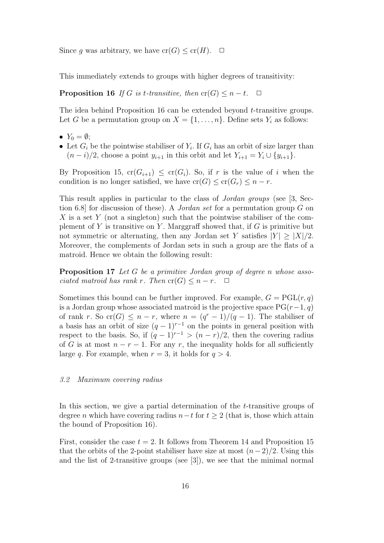Since g was arbitrary, we have  $\operatorname{cr}(G) \le \operatorname{cr}(H)$ .  $\Box$ 

This immediately extends to groups with higher degrees of transitivity:

**Proposition 16** If G is t-transitive, then  $cr(G) \leq n-t$ .  $\Box$ 

The idea behind Proposition 16 can be extended beyond t-transitive groups. Let G be a permutation group on  $X = \{1, \ldots, n\}$ . Define sets  $Y_i$  as follows:

- $Y_0 = \emptyset;$
- Let  $G_i$  be the pointwise stabiliser of  $Y_i$ . If  $G_i$  has an orbit of size larger than  $(n - i)/2$ , choose a point  $y_{i+1}$  in this orbit and let  $Y_{i+1} = Y_i \cup \{y_{i+1}\}.$

By Proposition 15,  $cr(G_{i+1}) \le cr(G_i)$ . So, if r is the value of i when the condition is no longer satisfied, we have  $cr(G) \leq cr(G_r) \leq n-r$ .

This result applies in particular to the class of Jordan groups (see [3, Section 6.8] for discussion of these). A *Jordan set* for a permutation group G on X is a set Y (not a singleton) such that the pointwise stabiliser of the complement of Y is transitive on Y. Marggraff showed that, if  $G$  is primitive but not symmetric or alternating, then any Jordan set Y satisfies  $|Y| > |X|/2$ . Moreover, the complements of Jordan sets in such a group are the flats of a matroid. Hence we obtain the following result:

Proposition 17 Let G be a primitive Jordan group of degree n whose associated matroid has rank r. Then  $cr(G) \leq n-r$ .  $\Box$ 

Sometimes this bound can be further improved. For example,  $G = PGL(r, q)$ is a Jordan group whose associated matroid is the projective space  $PG(r-1, q)$ of rank r. So cr(G)  $\leq n-r$ , where  $n = (q^r - 1)/(q - 1)$ . The stabiliser of a basis has an orbit of size  $(q-1)^{r-1}$  on the points in general position with respect to the basis. So, if  $(q-1)^{r-1} > (n-r)/2$ , then the covering radius of G is at most  $n - r - 1$ . For any r, the inequality holds for all sufficiently large q. For example, when  $r = 3$ , it holds for  $q > 4$ .

#### 3.2 Maximum covering radius

In this section, we give a partial determination of the *t*-transitive groups of degree *n* which have covering radius  $n-t$  for  $t \geq 2$  (that is, those which attain the bound of Proposition 16).

First, consider the case  $t = 2$ . It follows from Theorem 14 and Proposition 15 that the orbits of the 2-point stabiliser have size at most  $(n-2)/2$ . Using this and the list of 2-transitive groups (see [3]), we see that the minimal normal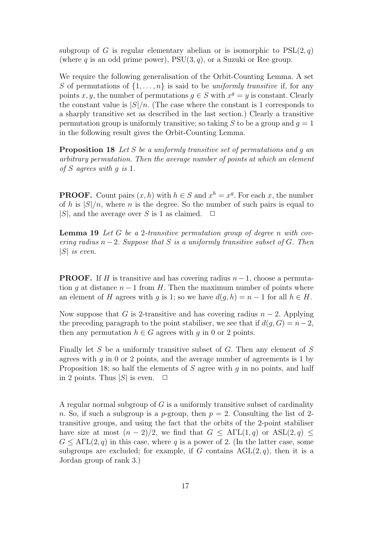subgroup of G is regular elementary abelian or is isomorphic to  $PSL(2, q)$ (where q is an odd prime power),  $PSU(3, q)$ , or a Suzuki or Ree group.

We require the following generalisation of the Orbit-Counting Lemma. A set S of permutations of  $\{1, \ldots, n\}$  is said to be uniformly transitive if, for any points x, y, the number of permutations  $g \in S$  with  $x^g = y$  is constant. Clearly the constant value is  $|S|/n$ . (The case where the constant is 1 corresponds to a sharply transitive set as described in the last section.) Clearly a transitive permutation group is uniformly transitive; so taking S to be a group and  $q = 1$ in the following result gives the Orbit-Counting Lemma.

Proposition 18 Let S be a uniformly transitive set of permutations and g an arbitrary permutation. Then the average number of points at which an element of S agrees with g is 1.

**PROOF.** Count pairs  $(x, h)$  with  $h \in S$  and  $x^h = x^g$ . For each x, the number of h is  $|S|/n$ , where n is the degree. So the number of such pairs is equal to  $|S|$ , and the average over S is 1 as claimed.  $\Box$ 

Lemma 19 Let G be a 2-transitive permutation group of degree n with covering radius  $n-2$ . Suppose that S is a uniformly transitive subset of G. Then  $|S|$  is even.

**PROOF.** If H is transitive and has covering radius  $n-1$ , choose a permutation q at distance  $n-1$  from H. Then the maximum number of points where an element of H agrees with q is 1; so we have  $d(q, h) = n - 1$  for all  $h \in H$ .

Now suppose that G is 2-transitive and has covering radius  $n-2$ . Applying the preceding paragraph to the point stabiliser, we see that if  $d(q, G) = n-2$ , then any permutation  $h \in G$  agrees with q in 0 or 2 points.

Finally let  $S$  be a uniformly transitive subset of  $G$ . Then any element of  $S$ agrees with q in 0 or 2 points, and the average number of agreements is 1 by Proposition 18; so half the elements of S agree with q in no points, and half in 2 points. Thus  $|S|$  is even.  $\Box$ 

A regular normal subgroup of  $G$  is a uniformly transitive subset of cardinality n. So, if such a subgroup is a p-group, then  $p = 2$ . Consulting the list of 2transitive groups, and using the fact that the orbits of the 2-point stabiliser have size at most  $(n-2)/2$ , we find that  $G \leq \text{ATL}(1,q)$  or  $\text{ASL}(2,q) \leq$  $G \leq A\Gamma\mathrm{L}(2,q)$  in this case, where q is a power of 2. (In the latter case, some subgroups are excluded; for example, if G contains  $AGL(2, q)$ , then it is a Jordan group of rank 3.)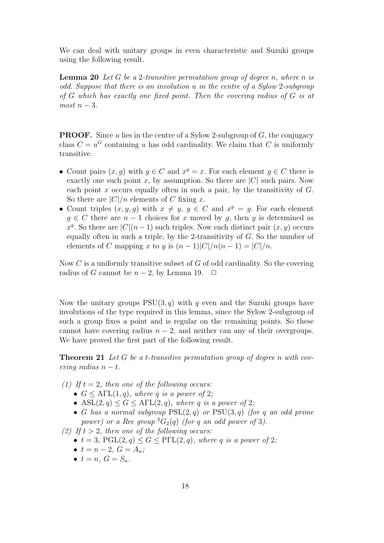We can deal with unitary groups in even characteristic and Suzuki groups using the following result.

**Lemma 20** Let G be a 2-transitive permutation group of degree n, where n is odd. Suppose that there is an involution u in the centre of a Sylow 2-subgroup of G which has exactly one fixed point. Then the covering radius of G is at  $most\ n-3.$ 

**PROOF.** Since u lies in the centre of a Sylow 2-subgroup of  $G$ , the conjugacy class  $C = u^G$  containing u has odd cardinality. We claim that C is uniformly transitive.

- Count pairs  $(x, g)$  with  $g \in C$  and  $x^g = x$ . For each element  $g \in C$  there is exactly one such point x, by assumption. So there are  $|C|$  such pairs. Now each point x occurs equally often in such a pair, by the transitivity of  $G$ . So there are  $|C|/n$  elements of C fixing x.
- Count triples  $(x, y, g)$  with  $x \neq y, g \in C$  and  $x^g = y$ . For each element  $q \in C$  there are  $n-1$  choices for x moved by q, then y is determined as  $x^g$ . So there are  $|C|(n-1)$  such triples. Now each distinct pair  $(x, y)$  occurs equally often in such a triple, by the 2-transitivity of  $G$ . So the number of elements of C mapping x to y is  $(n-1)|C|/n(n-1) = |C|/n$ .

Now  $C$  is a uniformly transitive subset of  $G$  of odd cardinality. So the covering radius of G cannot be  $n-2$ , by Lemma 19.  $\Box$ 

Now the unitary groups  $PSU(3, q)$  with q even and the Suzuki groups have involutions of the type required in this lemma, since the Sylow 2-subgroup of such a group fixes a point and is regular on the remaining points. So these cannot have covering radius  $n - 2$ , and neither can any of their overgroups. We have proved the first part of the following result.

**Theorem 21** Let G be a t-transitive permutation group of degree n with covering radius  $n - t$ .

- (1) If  $t = 2$ , then one of the following occurs:
	- $G \leq A\Gamma L(1,q)$ , where q is a power of 2;
	- ASL $(2, q) \leq G \leq A\Gamma L(2, q)$ , where q is a power of 2;
	- G has a normal subgroup  $PSL(2,q)$  or  $PSU(3,q)$  (for q an odd prime power) or a Ree group  ${}^2G_2(q)$  (for q an odd power of 3).

(2) If  $t > 2$ , then one of the following occurs:

- $t = 3$ ,  $PGL(2,q) \leq G \leq PFL(2,q)$ , where q is a power of 2;
- $t = n 2$ ,  $G = A_n$ ;
- $t = n$ ,  $G = S_n$ .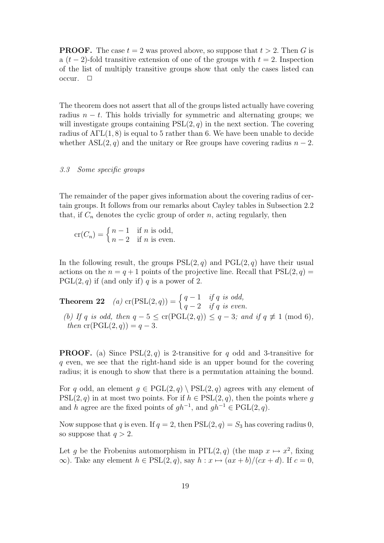**PROOF.** The case  $t = 2$  was proved above, so suppose that  $t > 2$ . Then G is a  $(t-2)$ -fold transitive extension of one of the groups with  $t = 2$ . Inspection of the list of multiply transitive groups show that only the cases listed can  $occur. \quad \Box$ 

The theorem does not assert that all of the groups listed actually have covering radius  $n - t$ . This holds trivially for symmetric and alternating groups; we will investigate groups containing  $PSL(2, q)$  in the next section. The covering radius of  $\text{ATL}(1, 8)$  is equal to 5 rather than 6. We have been unable to decide whether  $\text{ASL}(2, q)$  and the unitary or Ree groups have covering radius  $n - 2$ .

## 3.3 Some specific groups

The remainder of the paper gives information about the covering radius of certain groups. It follows from our remarks about Cayley tables in Subsection 2.2 that, if  $C_n$  denotes the cyclic group of order n, acting regularly, then

 $\operatorname{cr}(C_n) = \begin{cases} n-1 & \text{if } n \text{ is odd,} \\ n-2 & \text{if } n \text{ is even.} \end{cases}$  $n-2$  if n is even.

In the following result, the groups  $PSL(2, q)$  and  $PGL(2, q)$  have their usual actions on the  $n = q + 1$  points of the projective line. Recall that  $PSL(2, q) =$  $PGL(2,q)$  if (and only if) q is a power of 2.

**Theorem 22** (a) cr(PSL(2, q)) =  $\begin{cases} q-1 & \text{if } q \text{ is odd,} \\ 0 & \text{if } q \text{ is even} \end{cases}$  $q-2$  if q is even. (b) If q is odd, then  $q - 5 \leq \text{cr}(\text{PGL}(2,q)) \leq q - 3$ ; and if  $q \not\equiv 1 \pmod{6}$ , then  $cr(PGL(2,q)) = q-3$ .

**PROOF.** (a) Since  $PSL(2,q)$  is 2-transitive for q odd and 3-transitive for q even, we see that the right-hand side is an upper bound for the covering radius; it is enough to show that there is a permutation attaining the bound.

For q odd, an element  $q \in \text{PGL}(2,q) \backslash \text{PSL}(2,q)$  agrees with any element of  $PSL(2, q)$  in at most two points. For if  $h \in PSL(2, q)$ , then the points where g and h agree are the fixed points of  $gh^{-1}$ , and  $gh^{-1} \in \text{PGL}(2, q)$ .

Now suppose that q is even. If  $q = 2$ , then  $PSL(2, q) = S_3$  has covering radius 0, so suppose that  $q > 2$ .

Let g be the Frobenius automorphism in PΓL $(2, q)$  (the map  $x \mapsto x^2$ , fixing  $\infty$ ). Take any element  $h \in \text{PSL}(2,q)$ , say  $h: x \mapsto (ax + b)/(cx + d)$ . If  $c = 0$ ,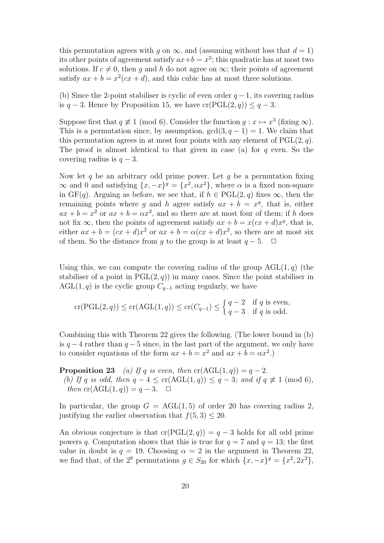this permutation agrees with q on  $\infty$ , and (assuming without loss that  $d = 1$ ) its other points of agreement satisfy  $ax+b = x^2$ ; this quadratic has at most two solutions. If  $c \neq 0$ , then q and h do not agree on  $\infty$ ; their points of agreement satisfy  $ax + b = x^2(cx + d)$ , and this cubic has at most three solutions.

(b) Since the 2-point stabiliser is cyclic of even order  $q-1$ , its covering radius is  $q-3$ . Hence by Proposition 15, we have cr(PGL(2, q))  $\leq q-3$ .

Suppose first that  $q \not\equiv 1 \pmod{6}$ . Consider the function  $g: x \mapsto x^3$  (fixing  $\infty$ ). This is a permutation since, by assumption,  $gcd(3, q - 1) = 1$ . We claim that this permutation agrees in at most four points with any element of  $PGL(2, q)$ . The proof is almost identical to that given in case (a) for  $q$  even. So the covering radius is  $q - 3$ .

Now let q be an arbitrary odd prime power. Let  $q$  be a permutation fixing  $\infty$  and 0 and satisfying  $\{x, -x\}$ <sup>g</sup> =  $\{x^2, \alpha x^2\}$ , where  $\alpha$  is a fixed non-square in  $GF(q)$ . Arguing as before, we see that, if  $h \in PGL(2,q)$  fixes  $\infty$ , then the remaining points where g and h agree satisfy  $ax + b = x<sup>g</sup>$ , that is, either  $ax + b = x^2$  or  $ax + b = \alpha x^2$ , and so there are at most four of them; if h does not fix  $\infty$ , then the points of agreement satisfy  $ax + b = x(cx + d)x^{g}$ , that is, either  $ax + b = (cx + d)x^2$  or  $ax + b = \alpha(cx + d)x^2$ , so there are at most six of them. So the distance from g to the group is at least  $q-5$ .  $\Box$ 

Using this, we can compute the covering radius of the group  $AGL(1, q)$  (the stabiliser of a point in  $PGL(2, q)$  in many cases. Since the point stabiliser in AGL(1,q) is the cyclic group  $C_{q-1}$  acting regularly, we have

$$
\operatorname{cr}(\operatorname{PGL}(2,q)) \le \operatorname{cr}(\operatorname{AGL}(1,q)) \le \operatorname{cr}(C_{q-1}) \le \begin{cases} q-2 & \text{if } q \text{ is even,} \\ q-3 & \text{if } q \text{ is odd.} \end{cases}
$$

Combining this with Theorem 22 gives the following. (The lower bound in (b) is  $q-4$  rather than  $q-5$  since, in the last part of the argument, we only have to consider equations of the form  $ax + b = x^2$  and  $ax + b = \alpha x^2$ .

**Proposition 23** (a) If q is even, then  $cr(AGL(1,q)) = q-2$ . (b) If q is odd, then  $q - 4 \leq \text{cr}(\text{AGL}(1,q)) \leq q - 3$ ; and if  $q \not\equiv 1 \pmod{6}$ , then  $cr(AGL(1,q)) = q-3. \quad \Box$ 

In particular, the group  $G = \text{AGL}(1, 5)$  of order 20 has covering radius 2, justifying the earlier observation that  $f(5,3) \leq 20$ .

An obvious conjecture is that  $cr(PGL(2,q)) = q-3$  holds for all odd prime powers q. Computation shows that this is true for  $q = 7$  and  $q = 13$ ; the first value in doubt is  $q = 19$ . Choosing  $\alpha = 2$  in the argument in Theorem 22, we find that, of the  $2^9$  permutations  $g \in S_{20}$  for which  $\{x, -x\}^g = \{x^2, 2x^2\}$ ,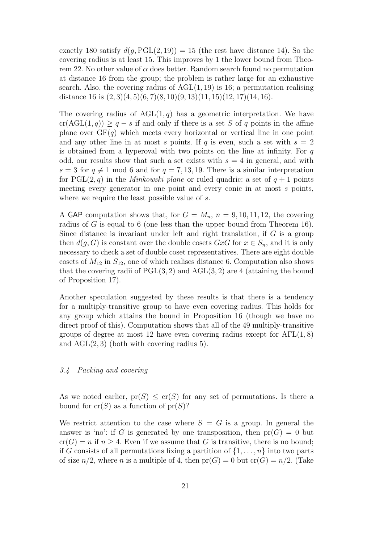exactly 180 satisfy  $d(g, \text{PGL}(2, 19)) = 15$  (the rest have distance 14). So the covering radius is at least 15. This improves by 1 the lower bound from Theorem 22. No other value of  $\alpha$  does better. Random search found no permutation at distance 16 from the group; the problem is rather large for an exhaustive search. Also, the covering radius of  $AGL(1, 19)$  is 16; a permutation realising distance 16 is  $(2,3)(4,5)(6,7)(8,10)(9,13)(11,15)(12,17)(14,16)$ .

The covering radius of  $AGL(1,q)$  has a geometric interpretation. We have  $cr(AGL(1,q)) \geq q-s$  if and only if there is a set S of q points in the affine plane over  $GF(q)$  which meets every horizontal or vertical line in one point and any other line in at most s points. If q is even, such a set with  $s = 2$ is obtained from a hyperoval with two points on the line at infinity. For  $q$ odd, our results show that such a set exists with  $s = 4$  in general, and with  $s = 3$  for  $q \neq 1$  mod 6 and for  $q = 7, 13, 19$ . There is a similar interpretation for PGL $(2, q)$  in the *Minkowski plane* or ruled quadric: a set of  $q + 1$  points meeting every generator in one point and every conic in at most s points, where we require the least possible value of s.

A GAP computation shows that, for  $G = M_n$ ,  $n = 9, 10, 11, 12$ , the covering radius of G is equal to 6 (one less than the upper bound from Theorem 16). Since distance is invariant under left and right translation, if  $G$  is a group then  $d(q, G)$  is constant over the double cosets  $GxG$  for  $x \in S_n$ , and it is only necessary to check a set of double coset representatives. There are eight double cosets of  $M_{12}$  in  $S_{12}$ , one of which realises distance 6. Computation also shows that the covering radii of  $PGL(3, 2)$  and  $AGL(3, 2)$  are 4 (attaining the bound of Proposition 17).

Another speculation suggested by these results is that there is a tendency for a multiply-transitive group to have even covering radius. This holds for any group which attains the bound in Proposition 16 (though we have no direct proof of this). Computation shows that all of the 49 multiply-transitive groups of degree at most 12 have even covering radius except for  $\text{ATL}(1, 8)$ and  $AGL(2,3)$  (both with covering radius 5).

# 3.4 Packing and covering

As we noted earlier,  $pr(S) \leq cr(S)$  for any set of permutations. Is there a bound for  $cr(S)$  as a function of  $pr(S)$ ?

We restrict attention to the case where  $S = G$  is a group. In general the answer is 'no': if G is generated by one transposition, then  $pr(G) = 0$  but  $cr(G) = n$  if  $n \geq 4$ . Even if we assume that G is transitive, there is no bound; if G consists of all permutations fixing a partition of  $\{1, \ldots, n\}$  into two parts of size  $n/2$ , where n is a multiple of 4, then  $pr(G) = 0$  but  $cr(G) = n/2$ . (Take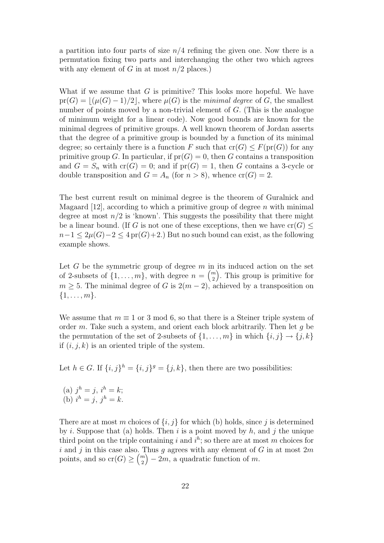a partition into four parts of size  $n/4$  refining the given one. Now there is a permutation fixing two parts and interchanging the other two which agrees with any element of G in at most  $n/2$  places.)

What if we assume that  $G$  is primitive? This looks more hopeful. We have  $pr(G) = |(\mu(G) - 1)/2|$ , where  $\mu(G)$  is the minimal degree of G, the smallest number of points moved by a non-trivial element of  $G$ . (This is the analogue of minimum weight for a linear code). Now good bounds are known for the minimal degrees of primitive groups. A well known theorem of Jordan asserts that the degree of a primitive group is bounded by a function of its minimal degree; so certainly there is a function F such that  $cr(G) \leq F(pr(G))$  for any primitive group G. In particular, if  $pr(G) = 0$ , then G contains a transposition and  $G = S_n$  with  $cr(G) = 0$ ; and if  $pr(G) = 1$ , then G contains a 3-cycle or double transposition and  $G = A_n$  (for  $n > 8$ ), whence  $cr(G) = 2$ .

The best current result on minimal degree is the theorem of Guralnick and Magaard  $[12]$ , according to which a primitive group of degree n with minimal degree at most  $n/2$  is 'known'. This suggests the possibility that there might be a linear bound. (If G is not one of these exceptions, then we have  $\text{cr}(G)$  <  $n-1 \leq 2\mu(G)-2 \leq 4 \text{ pr}(G)+2.$  But no such bound can exist, as the following example shows.

Let G be the symmetric group of degree  $m$  in its induced action on the set of 2-subsets of  $\{1, \ldots, m\}$ , with degree  $n = \binom{m}{2}$  $\binom{m}{2}$ . This group is primitive for  $m \geq 5$ . The minimal degree of G is  $2(m-2)$ , achieved by a transposition on  $\{1,\ldots,m\}.$ 

We assume that  $m \equiv 1$  or 3 mod 6, so that there is a Steiner triple system of order  $m$ . Take such a system, and orient each block arbitrarily. Then let  $q$  be the permutation of the set of 2-subsets of  $\{1, \ldots, m\}$  in which  $\{i, j\} \rightarrow \{j, k\}$ if  $(i, j, k)$  is an oriented triple of the system.

Let  $h \in G$ . If  $\{i, j\}^h = \{i, j\}^g = \{j, k\}$ , then there are two possibilities:

(a) 
$$
j^h = j
$$
,  $i^h = k$ ;  
(b)  $i^h = j$ ,  $j^h = k$ .

There are at most m choices of  $\{i, j\}$  for which (b) holds, since j is determined by i. Suppose that (a) holds. Then i is a point moved by  $h$ , and j the unique third point on the triple containing i and  $i^h$ ; so there are at most m choices for i and j in this case also. Thus q agrees with any element of G in at most  $2m$ points, and so  $\operatorname{cr}(G) \geq {m \choose 2}$  $\binom{m}{2} - 2m$ , a quadratic function of m.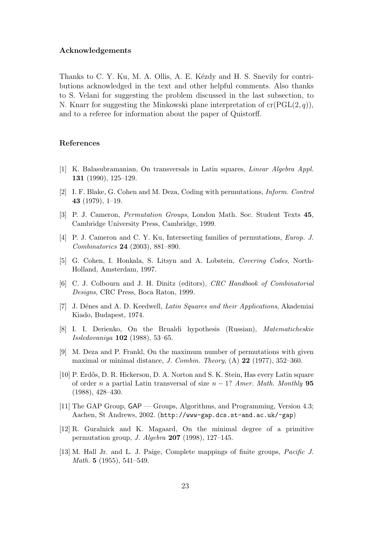#### Acknowledgements

Thanks to C. Y. Ku, M. A. Ollis, A. E. Kézdy and H. S. Snevily for contributions acknowledged in the text and other helpful comments. Also thanks to S. Velani for suggesting the problem discussed in the last subsection, to N. Knarr for suggesting the Minkowski plane interpretation of  $cr(PGL(2, q))$ , and to a referee for information about the paper of Quistorff.

## References

- [1] K. Balasubramanian, On transversals in Latin squares, Linear Algebra Appl. 131 (1990), 125–129.
- [2] I. F. Blake, G. Cohen and M. Deza, Coding with permutations, Inform. Control 43 (1979), 1–19.
- [3] P. J. Cameron, Permutation Groups, London Math. Soc. Student Texts 45, Cambridge University Press, Cambridge, 1999.
- [4] P. J. Cameron and C. Y. Ku, Intersecting families of permutations, Europ. J. Combinatorics 24 (2003), 881–890.
- [5] G. Cohen, I. Honkala, S. Litsyn and A. Lobstein, Covering Codes, North-Holland, Amsterdam, 1997.
- [6] C. J. Colbourn and J. H. Dinitz (editors), CRC Handbook of Combinatorial Designs, CRC Press, Boca Raton, 1999.
- [7] J. Dénes and A. D. Keedwell, Latin Squares and their Applications, Akademiai Kiado, Budapest, 1974.
- [8] I. I. Derienko, On the Brualdi hypothesis (Russian), Matematicheskie Issledovaniya 102 (1988), 53–65.
- [9] M. Deza and P. Frankl, On the maximum number of permutations with given maximal or minimal distance, *J. Combin. Theory*,  $(A)$  **22** (1977), 352–360.
- [10] P. Erdős, D. R. Hickerson, D. A. Norton and S. K. Stein, Has every Latin square of order n a partial Latin transversal of size  $n-1$ ? Amer. Math. Monthly 95 (1988), 428–430.
- [11] The GAP Group, GAP Groups, Algorithms, and Programming, Version 4.3; Aachen, St Andrews, 2002. (http://www-gap.dcs.st-and.ac.uk/~gap)
- [12] R. Guralnick and K. Magaard, On the minimal degree of a primitive permutation group, J. Algebra 207 (1998), 127–145.
- [13] M. Hall Jr. and L. J. Paige, Complete mappings of finite groups, Pacific J. *Math.* **5** (1955), 541–549.